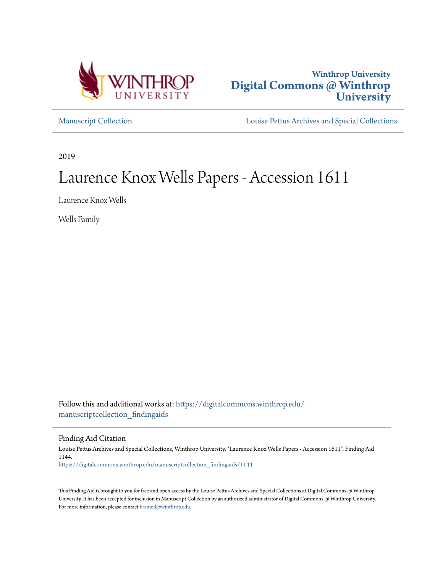



[Manuscript Collection](https://digitalcommons.winthrop.edu/manuscriptcollection_findingaids?utm_source=digitalcommons.winthrop.edu%2Fmanuscriptcollection_findingaids%2F1144&utm_medium=PDF&utm_campaign=PDFCoverPages) [Louise Pettus Archives and Special Collections](https://digitalcommons.winthrop.edu/pettus_archives?utm_source=digitalcommons.winthrop.edu%2Fmanuscriptcollection_findingaids%2F1144&utm_medium=PDF&utm_campaign=PDFCoverPages)

2019

# Laurence Knox Wells Papers - Accession 1611

Laurence Knox Wells

Wells Family

Follow this and additional works at: [https://digitalcommons.winthrop.edu/](https://digitalcommons.winthrop.edu/manuscriptcollection_findingaids?utm_source=digitalcommons.winthrop.edu%2Fmanuscriptcollection_findingaids%2F1144&utm_medium=PDF&utm_campaign=PDFCoverPages) [manuscriptcollection\\_findingaids](https://digitalcommons.winthrop.edu/manuscriptcollection_findingaids?utm_source=digitalcommons.winthrop.edu%2Fmanuscriptcollection_findingaids%2F1144&utm_medium=PDF&utm_campaign=PDFCoverPages)

Finding Aid Citation

Louise Pettus Archives and Special Collections, Winthrop University, "Laurence Knox Wells Papers - Accession 1611". Finding Aid 1144. [https://digitalcommons.winthrop.edu/manuscriptcollection\\_findingaids/1144](https://digitalcommons.winthrop.edu/manuscriptcollection_findingaids/1144?utm_source=digitalcommons.winthrop.edu%2Fmanuscriptcollection_findingaids%2F1144&utm_medium=PDF&utm_campaign=PDFCoverPages)

This Finding Aid is brought to you for free and open access by the Louise Pettus Archives and Special Collections at Digital Commons @ Winthrop University. It has been accepted for inclusion in Manuscript Collection by an authorized administrator of Digital Commons @ Winthrop University. For more information, please contact [bramed@winthrop.edu.](mailto:bramed@winthrop.edu)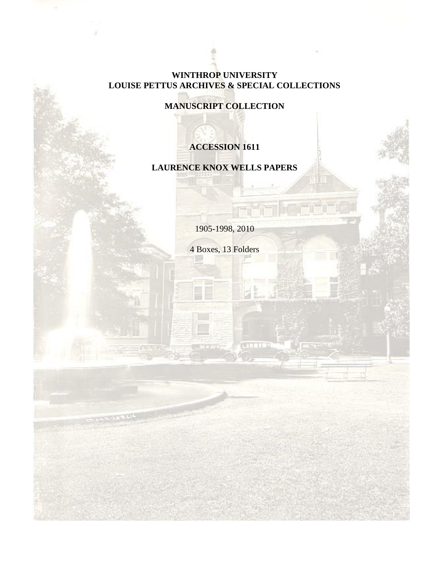## **WINTHROP UNIVERSITY LOUISE PETTUS ARCHIVES & SPECIAL COLLECTIONS**

**MANUSCRIPT COLLECTION**

## **ACCESSION 1611**

## **LAURENCE KNOX WELLS PAPERS**

1905-1998, 2010

4 Boxes, 13 Folders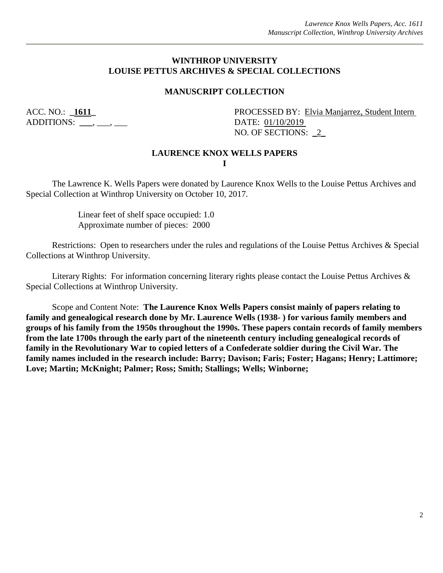## **WINTHROP UNIVERSITY LOUISE PETTUS ARCHIVES & SPECIAL COLLECTIONS**

## **MANUSCRIPT COLLECTION**

ADDITIONS: \_\_\_\_, \_\_\_, \_\_\_

ACC. NO.: **\_1611\_** PROCESSED BY: Elvia Manjarrez, Student Intern NO. OF SECTIONS: 2

### **LAURENCE KNOX WELLS PAPERS I**

The Lawrence K. Wells Papers were donated by Laurence Knox Wells to the Louise Pettus Archives and Special Collection at Winthrop University on October 10, 2017.

> Linear feet of shelf space occupied: 1.0 Approximate number of pieces: 2000

Restrictions: Open to researchers under the rules and regulations of the Louise Pettus Archives & Special Collections at Winthrop University.

Literary Rights: For information concerning literary rights please contact the Louise Pettus Archives & Special Collections at Winthrop University.

Scope and Content Note: **The Laurence Knox Wells Papers consist mainly of papers relating to family and genealogical research done by Mr. Laurence Wells (1938- ) for various family members and groups of his family from the 1950s throughout the 1990s. These papers contain records of family members from the late 1700s through the early part of the nineteenth century including genealogical records of family in the Revolutionary War to copied letters of a Confederate soldier during the Civil War. The family names included in the research include: Barry; Davison; Faris; Foster; Hagans; Henry; Lattimore; Love; Martin; McKnight; Palmer; Ross; Smith; Stallings; Wells; Winborne;**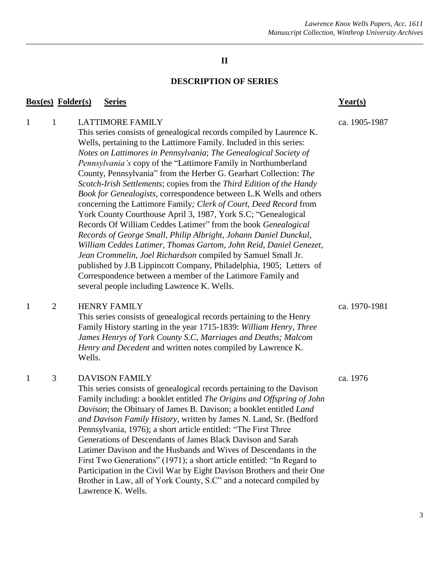### **DESCRIPTION OF SERIES**

### **Box(es) Folder(s) Series Year(s)**

This series consists of genealogical records compiled by Laurence K. Wells, pertaining to the Lattimore Family. Included in this series: *Notes on Lattimores in Pennsylvania*; *The Genealogical Society of Pennsylvania's* copy of the "Lattimore Family in Northumberland County, Pennsylvania" from the Herber G. Gearhart Collection: *The Scotch-Irish Settlements*; copies from the *Third Edition of the Handy Book for Genealogists*, correspondence between L.K Wells and others concerning the Lattimore Family*; Clerk of Court, Deed Record* from York County Courthouse April 3, 1987*,* York S.C; "Genealogical Records Of William Ceddes Latimer" from the book *Genealogical Records of George Small, Philip Albright, Johann Daniel Dunckul, William Ceddes Latimer, Thomas Gartom, John Reid, Daniel Genezet, Jean Crommelin, Joel Richardson* compiled by Samuel Small Jr. published by J.B Lippincott Company, Philadelphia, 1905; Letters of Correspondence between a member of the Latimore Family and several people including Lawrence K. Wells.

## 1 2 HENRY FAMILY ca. 1970-1981

This series consists of genealogical records pertaining to the Henry Family History starting in the year 1715-1839: *William Henry*, *Three James Henrys of York County S.C*, *Marriages and Deaths; Malcom Henry and Decedent* and written notes compiled by Lawrence K. Wells.

## 1 3 DAVISON FAMILY ca. 1976

This series consists of genealogical records pertaining to the Davison Family including: a booklet entitled *The Origins and Offspring of John Davison*; the Obituary of James B. Davison; a booklet entitled *Land and Davison Family History*, written by James N. Land, Sr. (Bedford Pennsylvania, 1976); a short article entitled: "The First Three Generations of Descendants of James Black Davison and Sarah Latimer Davison and the Husbands and Wives of Descendants in the First Two Generations" (1971); a short article entitled: "In Regard to Participation in the Civil War by Eight Davison Brothers and their One Brother in Law, all of York County, S.C" and a notecard compiled by Lawrence K. Wells.

1 1 LATTIMORE FAMILY ca. 1905-1987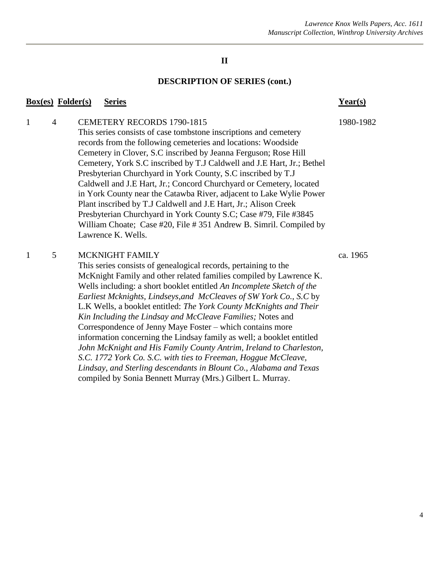### **DESCRIPTION OF SERIES (cont.)**

### **Box(es) Folder(s) Series Year(s)**

1 4 CEMETERY RECORDS 1790-1815 1980-1982 This series consists of case tombstone inscriptions and cemetery records from the following cemeteries and locations: Woodside Cemetery in Clover, S.C inscribed by Jeanna Ferguson; Rose Hill Cemetery, York S.C inscribed by T.J Caldwell and J.E Hart, Jr.; Bethel Presbyterian Churchyard in York County, S.C inscribed by T.J Caldwell and J.E Hart, Jr.; Concord Churchyard or Cemetery, located in York County near the Catawba River, adjacent to Lake Wylie Power Plant inscribed by T.J Caldwell and J.E Hart, Jr.; Alison Creek Presbyterian Churchyard in York County S.C; Case #79, File #3845 William Choate; Case #20, File # 351 Andrew B. Simril. Compiled by Lawrence K. Wells.

### 1 5 MCKNIGHT FAMILY ca. 1965

This series consists of genealogical records, pertaining to the McKnight Family and other related families compiled by Lawrence K. Wells including: a short booklet entitled *An Incomplete Sketch of the Earliest Mcknights, Lindseys,and McCleaves of SW York Co., S.C* by L.K Wells, a booklet entitled: *The York County McKnights and Their Kin Including the Lindsay and McCleave Families;* Notes and Correspondence of Jenny Maye Foster – which contains more information concerning the Lindsay family as well; a booklet entitled *John McKnight and His Family County Antrim, Ireland to Charleston, S.C. 1772 York Co. S.C. with ties to Freeman, Hoggue McCleave, Lindsay, and Sterling descendants in Blount Co., Alabama and Texas*  compiled by Sonia Bennett Murray (Mrs.) Gilbert L. Murray.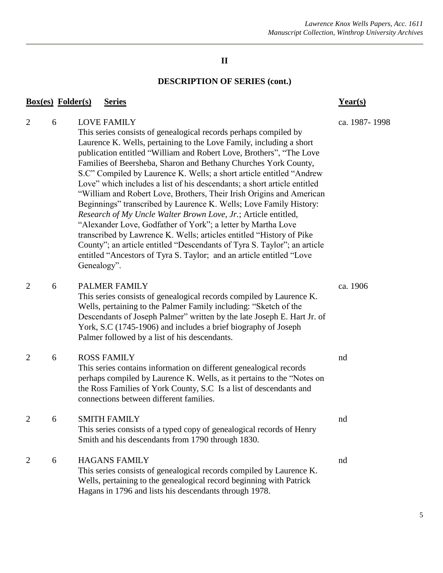## **DESCRIPTION OF SERIES (cont.)**

|                | <b>Box(es)</b> Folder(s) | <b>Series</b>                                                                                                                                                                                                                                                                                                                                                                                                                                                                                                                                                                                                                                                                                                                                                                                                                                                                                                                                                                          | Year(s)       |
|----------------|--------------------------|----------------------------------------------------------------------------------------------------------------------------------------------------------------------------------------------------------------------------------------------------------------------------------------------------------------------------------------------------------------------------------------------------------------------------------------------------------------------------------------------------------------------------------------------------------------------------------------------------------------------------------------------------------------------------------------------------------------------------------------------------------------------------------------------------------------------------------------------------------------------------------------------------------------------------------------------------------------------------------------|---------------|
| $\overline{2}$ | 6                        | <b>LOVE FAMILY</b><br>This series consists of genealogical records perhaps compiled by<br>Laurence K. Wells, pertaining to the Love Family, including a short<br>publication entitled "William and Robert Love, Brothers", "The Love<br>Families of Beersheba, Sharon and Bethany Churches York County,<br>S.C" Compiled by Laurence K. Wells; a short article entitled "Andrew<br>Love" which includes a list of his descendants; a short article entitled<br>"William and Robert Love, Brothers, Their Irish Origins and American<br>Beginnings" transcribed by Laurence K. Wells; Love Family History:<br>Research of My Uncle Walter Brown Love, Jr.; Article entitled,<br>"Alexander Love, Godfather of York"; a letter by Martha Love<br>transcribed by Lawrence K. Wells; articles entitled "History of Pike<br>County"; an article entitled "Descendants of Tyra S. Taylor"; an article<br>entitled "Ancestors of Tyra S. Taylor; and an article entitled "Love<br>Genealogy". | ca. 1987-1998 |
| $\overline{2}$ | 6                        | PALMER FAMILY<br>This series consists of genealogical records compiled by Laurence K.<br>Wells, pertaining to the Palmer Family including: "Sketch of the<br>Descendants of Joseph Palmer" written by the late Joseph E. Hart Jr. of<br>York, S.C (1745-1906) and includes a brief biography of Joseph<br>Palmer followed by a list of his descendants.                                                                                                                                                                                                                                                                                                                                                                                                                                                                                                                                                                                                                                | ca. 1906      |
| $\overline{2}$ | 6                        | <b>ROSS FAMILY</b><br>This series contains information on different genealogical records<br>perhaps compiled by Laurence K. Wells, as it pertains to the "Notes on<br>the Ross Families of York County, S.C Is a list of descendants and<br>connections between different families.                                                                                                                                                                                                                                                                                                                                                                                                                                                                                                                                                                                                                                                                                                    | nd            |
| $\overline{2}$ | 6                        | <b>SMITH FAMILY</b><br>This series consists of a typed copy of genealogical records of Henry<br>Smith and his descendants from 1790 through 1830.                                                                                                                                                                                                                                                                                                                                                                                                                                                                                                                                                                                                                                                                                                                                                                                                                                      | nd            |
| 2              | 6                        | <b>HAGANS FAMILY</b><br>This series consists of genealogical records compiled by Laurence K.<br>Wells, pertaining to the genealogical record beginning with Patrick<br>Hagans in 1796 and lists his descendants through 1978.                                                                                                                                                                                                                                                                                                                                                                                                                                                                                                                                                                                                                                                                                                                                                          | nd            |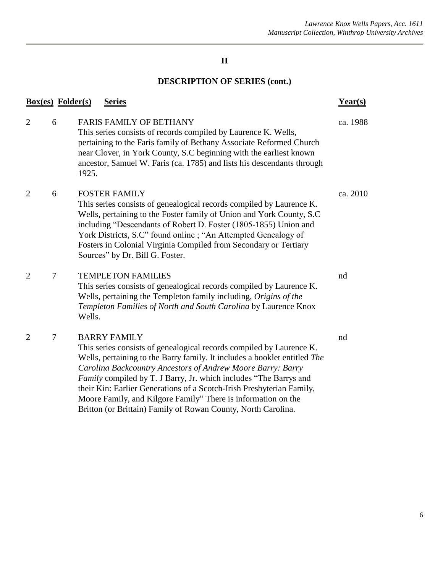## **DESCRIPTION OF SERIES (cont.)**

|                | <b>Box(es)</b> Folder(s) | <b>Series</b>                                                                                                                                                                                                                                                                                                                                                                                                                                                                                                           | $Year(s)$ |
|----------------|--------------------------|-------------------------------------------------------------------------------------------------------------------------------------------------------------------------------------------------------------------------------------------------------------------------------------------------------------------------------------------------------------------------------------------------------------------------------------------------------------------------------------------------------------------------|-----------|
| $\overline{2}$ | 6                        | <b>FARIS FAMILY OF BETHANY</b><br>This series consists of records compiled by Laurence K. Wells,<br>pertaining to the Faris family of Bethany Associate Reformed Church<br>near Clover, in York County, S.C beginning with the earliest known<br>ancestor, Samuel W. Faris (ca. 1785) and lists his descendants through<br>1925.                                                                                                                                                                                        | ca. 1988  |
| $\overline{2}$ | 6                        | <b>FOSTER FAMILY</b><br>This series consists of genealogical records compiled by Laurence K.<br>Wells, pertaining to the Foster family of Union and York County, S.C<br>including "Descendants of Robert D. Foster (1805-1855) Union and<br>York Districts, S.C" found online ; "An Attempted Genealogy of<br>Fosters in Colonial Virginia Compiled from Secondary or Tertiary<br>Sources" by Dr. Bill G. Foster.                                                                                                       | ca. 2010  |
| $\overline{2}$ | 7                        | <b>TEMPLETON FAMILIES</b><br>This series consists of genealogical records compiled by Laurence K.<br>Wells, pertaining the Templeton family including, Origins of the<br>Templeton Families of North and South Carolina by Laurence Knox<br>Wells.                                                                                                                                                                                                                                                                      | nd        |
| $\overline{2}$ | $\tau$                   | <b>BARRY FAMILY</b><br>This series consists of genealogical records compiled by Laurence K.<br>Wells, pertaining to the Barry family. It includes a booklet entitled The<br>Carolina Backcountry Ancestors of Andrew Moore Barry: Barry<br>Family compiled by T. J Barry, Jr. which includes "The Barrys and<br>their Kin: Earlier Generations of a Scotch-Irish Presbyterian Family,<br>Moore Family, and Kilgore Family" There is information on the<br>Britton (or Brittain) Family of Rowan County, North Carolina. | nd        |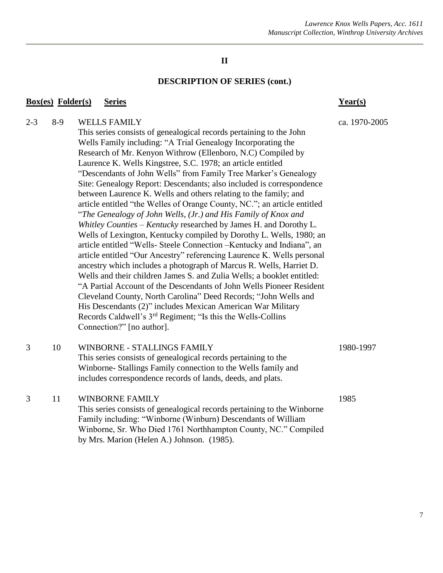### **DESCRIPTION OF SERIES (cont.)**

## **Box(es) Folder(s) Series Year(s)** 2-3 8-9 WELLS FAMILY ca. 1970-2005 This series consists of genealogical records pertaining to the John Wells Family including: "A Trial Genealogy Incorporating the Research of Mr. Kenyon Withrow (Ellenboro, N.C) Compiled by Laurence K. Wells Kingstree, S.C. 1978; an article entitled "Descendants of John Wells" from Family Tree Marker's Genealogy Site: Genealogy Report: Descendants; also included is correspondence between Laurence K. Wells and others relating to the family; and article entitled "the Welles of Orange County, NC."; an article entitled "*The Genealogy of John Wells, (Jr.) and His Family of Knox and Whitley Counties – Kentucky* researched by James H. and Dorothy L. Wells of Lexington, Kentucky compiled by Dorothy L. Wells, 1980; an article entitled "Wells- Steele Connection –Kentucky and Indiana", an article entitled "Our Ancestry" referencing Laurence K. Wells personal ancestry which includes a photograph of Marcus R. Wells, Harriet D. Wells and their children James S. and Zulia Wells; a booklet entitled: "A Partial Account of the Descendants of John Wells Pioneer Resident Cleveland County, North Carolina" Deed Records; "John Wells and His Descendants (2)" includes Mexican American War Military Records Caldwell's 3rd Regiment; "Is this the Wells-Collins Connection?" [no author]. 3 10 WINBORNE - STALLINGS FAMILY 1980-1997 This series consists of genealogical records pertaining to the Winborne- Stallings Family connection to the Wells family and includes correspondence records of lands, deeds, and plats. 3 11 WINBORNE FAMILY 1985 This series consists of genealogical records pertaining to the Winborne Family including: "Winborne (Winburn) Descendants of William Winborne, Sr. Who Died 1761 Northhampton County, NC." Compiled by Mrs. Marion (Helen A.) Johnson. (1985).